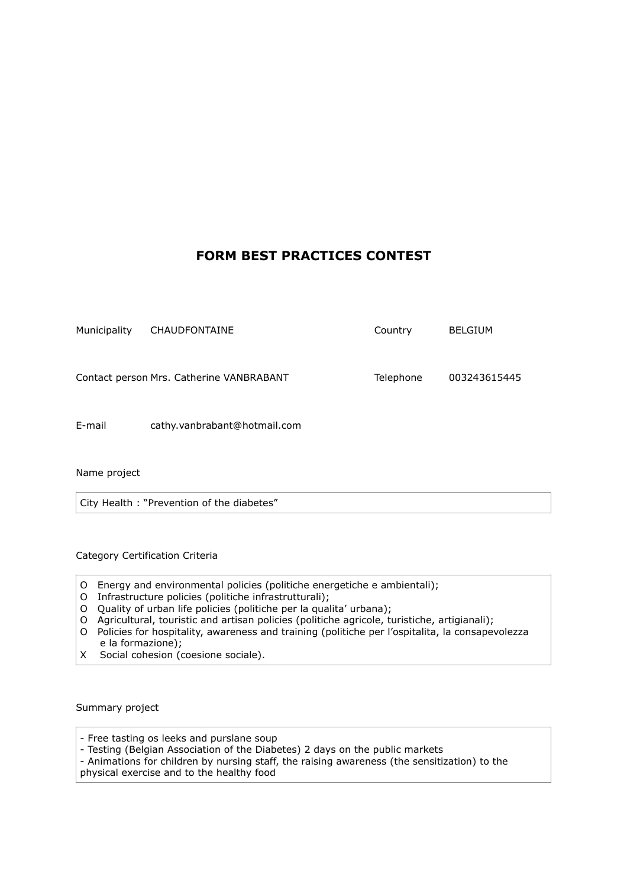## **FORM BEST PRACTICES CONTEST**

| Municipality | <b>CHAUDFONTAINE</b>                     | Country   | <b>BELGIUM</b> |
|--------------|------------------------------------------|-----------|----------------|
|              |                                          |           |                |
|              |                                          |           |                |
|              | Contact person Mrs. Catherine VANBRABANT | Telephone | 003243615445   |
|              |                                          |           |                |
|              |                                          |           |                |
|              |                                          |           |                |
|              |                                          |           |                |
| E-mail       | cathy.vanbrabant@hotmail.com             |           |                |

Name project

City Health : "Prevention of the diabetes"

Category Certification Criteria

- O Energy and environmental policies (politiche energetiche e ambientali);
- O Infrastructure policies (politiche infrastrutturali);
- O Quality of urban life policies (politiche per la qualita' urbana);
- O Agricultural, touristic and artisan policies (politiche agricole, turistiche, artigianali);
- O Policies for hospitality, awareness and training (politiche per l'ospitalita, la consapevolezza e la formazione);
- X Social cohesion (coesione sociale).

Summary project

- Free tasting os leeks and purslane soup - Testing (Belgian Association of the Diabetes) 2 days on the public markets - Animations for children by nursing staff, the raising awareness (the sensitization) to the physical exercise and to the healthy food